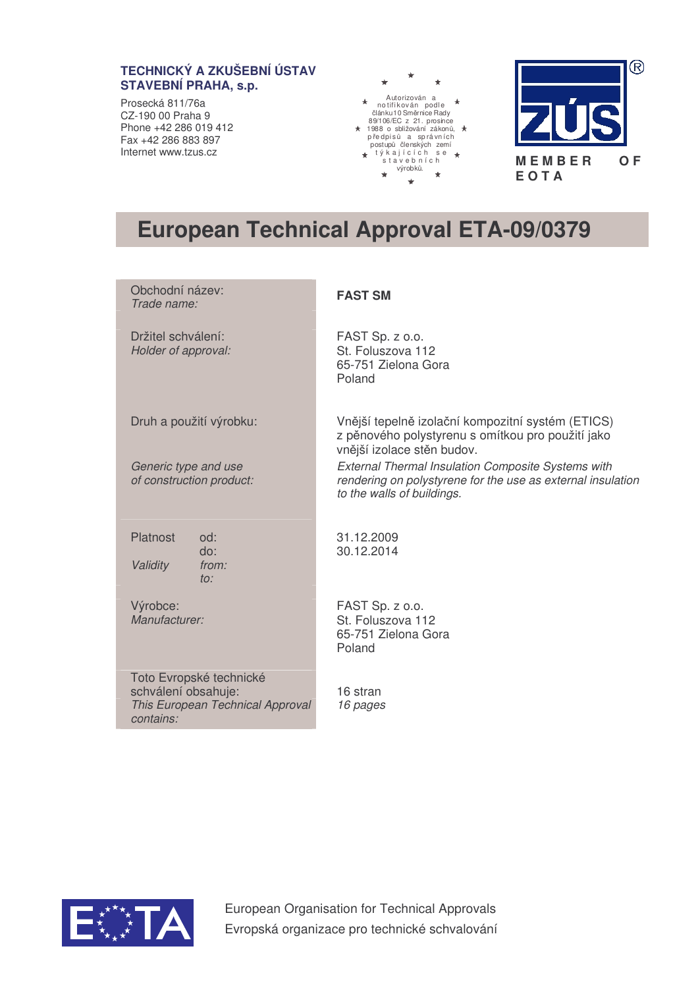## **TECHNICKÝ A ZKUŠEBNÍ ÚSTAV STAVEBNÍ PRAHA, s.p.**

Prosecká 811/76a CZ-190 00 Praha 9 Phone +42 286 019 412 Fax +42 286 883 897 Internet www.tzus.cz





# **European Technical Approval ETA-09/0379**

| Obchodní název:<br>Trade name:                                                                  | <b>FAST SM</b>                                                                                                                                         |
|-------------------------------------------------------------------------------------------------|--------------------------------------------------------------------------------------------------------------------------------------------------------|
| Držitel schválení:<br>Holder of approval:                                                       | FAST Sp. z o.o.<br>St. Foluszova 112<br>65-751 Zielona Gora<br>Poland                                                                                  |
| Druh a použití výrobku:                                                                         | Vnější tepelně izolační kompozitní systém (ETICS)<br>z pěnového polystyrenu s omítkou pro použití jako<br>vnější izolace stěn budov.                   |
| Generic type and use<br>of construction product:                                                | <b>External Thermal Insulation Composite Systems with</b><br>rendering on polystyrene for the use as external insulation<br>to the walls of buildings. |
| Platnost<br>od:<br>do:<br>Validity<br>from:<br>to:                                              | 31.12.2009<br>30.12.2014                                                                                                                               |
| Výrobce:<br>Manufacturer:                                                                       | FAST Sp. z o.o.<br>St. Foluszova 112<br>65-751 Zielona Gora<br>Poland                                                                                  |
| Toto Evropské technické<br>schválení obsahuje:<br>This European Technical Approval<br>contains: | 16 stran<br>16 pages                                                                                                                                   |



European Organisation for Technical Approvals Evropská organizace pro technické schvalování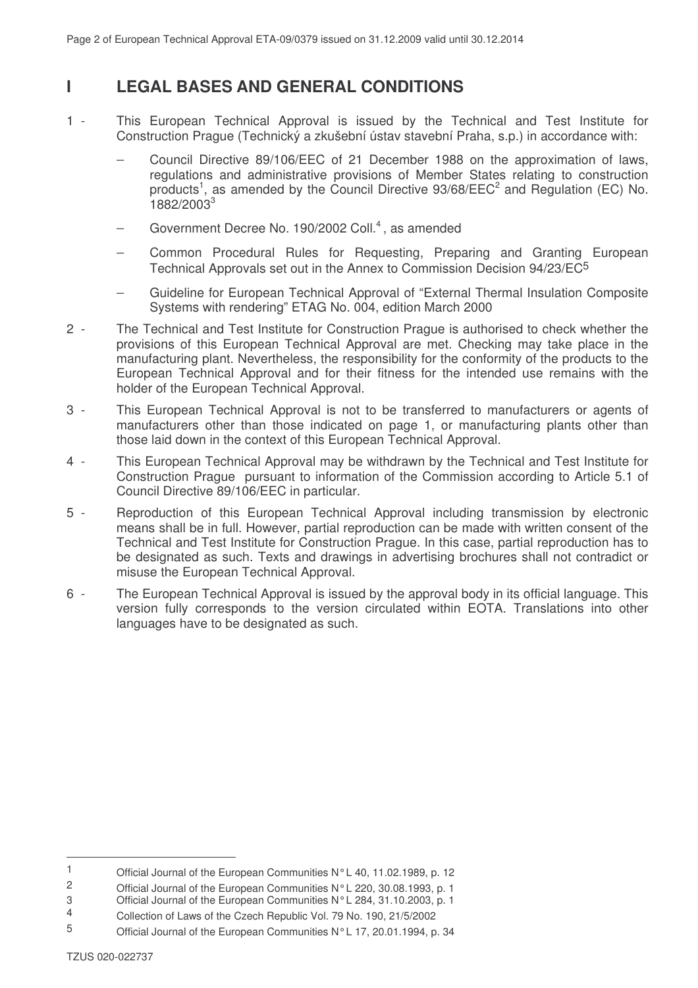# **I LEGAL BASES AND GENERAL CONDITIONS**

- 1 This European Technical Approval is issued by the Technical and Test Institute for Construction Prague (Technický a zkušební ústav stavební Praha, s.p.) in accordance with:
	- − Council Directive 89/106/EEC of 21 December 1988 on the approximation of laws, regulations and administrative provisions of Member States relating to construction products<sup>1</sup>, as amended by the Council Directive  $93/68/EEC<sup>2</sup>$  and Regulation (EC) No. 1882/2003 3
	- − Government Decree No. 190/2002 Coll. 4 , as amended
	- − Common Procedural Rules for Requesting, Preparing and Granting European Technical Approvals set out in the Annex to Commission Decision 94/23/EC5
	- − Guideline for European Technical Approval of "External Thermal Insulation Composite Systems with rendering" ETAG No. 004, edition March 2000
- 2 The Technical and Test Institute for Construction Prague is authorised to check whether the provisions of this European Technical Approval are met. Checking may take place in the manufacturing plant. Nevertheless, the responsibility for the conformity of the products to the European Technical Approval and for their fitness for the intended use remains with the holder of the European Technical Approval.
- 3 This European Technical Approval is not to be transferred to manufacturers or agents of manufacturers other than those indicated on page 1, or manufacturing plants other than those laid down in the context of this European Technical Approval.
- 4 This European Technical Approval may be withdrawn by the Technical and Test Institute for Construction Prague pursuant to information of the Commission according to Article 5.1 of Council Directive 89/106/EEC in particular.
- 5 Reproduction of this European Technical Approval including transmission by electronic means shall be in full. However, partial reproduction can be made with written consent of the Technical and Test Institute for Construction Prague. In this case, partial reproduction has to be designated as such. Texts and drawings in advertising brochures shall not contradict or misuse the European Technical Approval.
- 6 The European Technical Approval is issued by the approval body in its official language. This version fully corresponds to the version circulated within EOTA. Translations into other languages have to be designated as such.

<sup>1</sup> Official Journal of the European Communities N°L 40, 11.02.1989, p. 12<br>2 Official Journal of the European Communities N°L 220, 30.08.1993, p. 1.

<sup>2</sup> Official Journal of the European Communities N°L 220, 30.08.1993, p. 1

<sup>3</sup> Official Journal of the European Communities N°L 284, 31.10.2003, p. 1

<sup>4</sup> Collection of Laws of the Czech Republic Vol. 79 No. 190, 21/5/2002

<sup>5</sup> Official Journal of the European Communities N°L 17, 20.01.1994, p. 34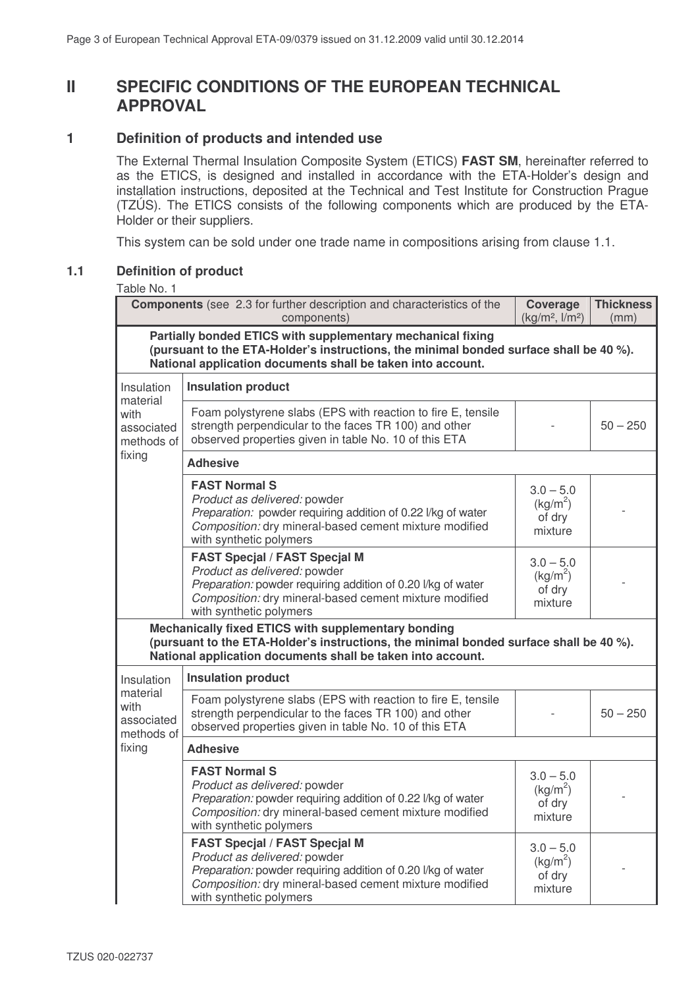# **II SPECIFIC CONDITIONS OF THE EUROPEAN TECHNICAL APPROVAL**

## **1 Definition of products and intended use**

The External Thermal Insulation Composite System (ETICS) **FAST SM**, hereinafter referred to as the ETICS, is designed and installed in accordance with the ETA-Holder's design and installation instructions, deposited at the Technical and Test Institute for Construction Prague (TZÚS). The ETICS consists of the following components which are produced by the ETA-Holder or their suppliers.

This system can be sold under one trade name in compositions arising from clause 1.1.

## **1.1 Definition of product**

#### Table No. 1

|                                                                                                                                                                                                                      | <b>Components</b> (see 2.3 for further description and characteristics of the<br>components)                                                                                                                              | <b>Coverage</b><br>(kg/m <sup>2</sup> , I/m <sup>2</sup> ) | <b>Thickness</b><br>(mm) |
|----------------------------------------------------------------------------------------------------------------------------------------------------------------------------------------------------------------------|---------------------------------------------------------------------------------------------------------------------------------------------------------------------------------------------------------------------------|------------------------------------------------------------|--------------------------|
| Partially bonded ETICS with supplementary mechanical fixing<br>(pursuant to the ETA-Holder's instructions, the minimal bonded surface shall be 40 %).<br>National application documents shall be taken into account. |                                                                                                                                                                                                                           |                                                            |                          |
| Insulation                                                                                                                                                                                                           | <b>Insulation product</b>                                                                                                                                                                                                 |                                                            |                          |
| material<br>with<br>associated<br>methods of                                                                                                                                                                         | Foam polystyrene slabs (EPS with reaction to fire E, tensile<br>strength perpendicular to the faces TR 100) and other<br>observed properties given in table No. 10 of this ETA                                            |                                                            | $50 - 250$               |
| fixing                                                                                                                                                                                                               | <b>Adhesive</b>                                                                                                                                                                                                           |                                                            |                          |
|                                                                                                                                                                                                                      | <b>FAST Normal S</b><br>Product as delivered: powder<br>Preparation: powder requiring addition of 0.22 l/kg of water<br>Composition: dry mineral-based cement mixture modified<br>with synthetic polymers                 | $3.0 - 5.0$<br>$(kg/m^2)$<br>of dry<br>mixture             |                          |
|                                                                                                                                                                                                                      | <b>FAST Specjal / FAST Specjal M</b><br>Product as delivered: powder<br>Preparation: powder requiring addition of 0.20 I/kg of water<br>Composition: dry mineral-based cement mixture modified<br>with synthetic polymers | $3.0 - 5.0$<br>(kg/m <sup>2</sup> )<br>of dry<br>mixture   |                          |
|                                                                                                                                                                                                                      | Mechanically fixed ETICS with supplementary bonding<br>(pursuant to the ETA-Holder's instructions, the minimal bonded surface shall be 40 %).<br>National application documents shall be taken into account.              |                                                            |                          |
| Insulation                                                                                                                                                                                                           | <b>Insulation product</b>                                                                                                                                                                                                 |                                                            |                          |
| material<br>with<br>associated<br>methods of                                                                                                                                                                         | Foam polystyrene slabs (EPS with reaction to fire E, tensile<br>strength perpendicular to the faces TR 100) and other<br>observed properties given in table No. 10 of this ETA                                            |                                                            | $50 - 250$               |
| fixing                                                                                                                                                                                                               | <b>Adhesive</b>                                                                                                                                                                                                           |                                                            |                          |
|                                                                                                                                                                                                                      | <b>FAST Normal S</b><br>Product as delivered: powder<br>Preparation: powder requiring addition of 0.22 I/kg of water<br>Composition: dry mineral-based cement mixture modified<br>with synthetic polymers                 | $3.0 - 5.0$<br>(kg/m <sup>2</sup> )<br>of dry<br>mixture   |                          |
|                                                                                                                                                                                                                      | <b>FAST Specjal / FAST Specjal M</b><br>Product as delivered: powder<br>Preparation: powder requiring addition of 0.20 I/kg of water<br>Composition: dry mineral-based cement mixture modified<br>with synthetic polymers | $3.0 - 5.0$<br>$(kg/m^2)$<br>of dry<br>mixture             |                          |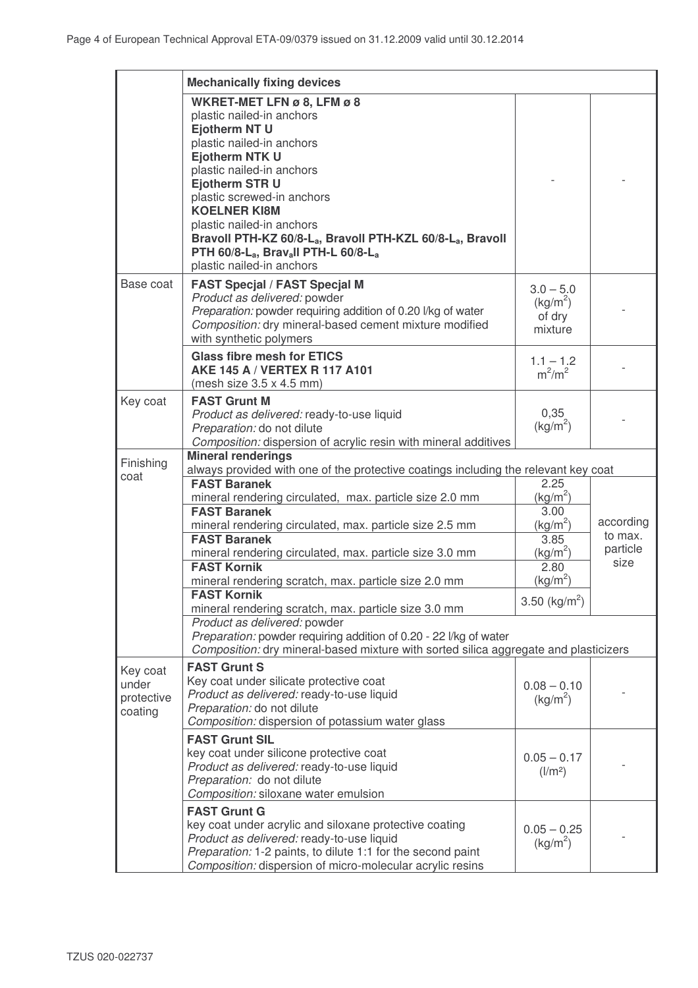|            | <b>Mechanically fixing devices</b>                                                   |                           |           |
|------------|--------------------------------------------------------------------------------------|---------------------------|-----------|
|            | WKRET-MET LFN ø 8, LFM ø 8                                                           |                           |           |
|            | plastic nailed-in anchors                                                            |                           |           |
|            | <b>Ejotherm NT U</b>                                                                 |                           |           |
|            | plastic nailed-in anchors                                                            |                           |           |
|            | <b>Ejotherm NTK U</b>                                                                |                           |           |
|            |                                                                                      |                           |           |
|            | plastic nailed-in anchors                                                            |                           |           |
|            | <b>Ejotherm STR U</b>                                                                |                           |           |
|            | plastic screwed-in anchors                                                           |                           |           |
|            | <b>KOELNER KI8M</b>                                                                  |                           |           |
|            | plastic nailed-in anchors                                                            |                           |           |
|            | Bravoll PTH-KZ 60/8-La, Bravoll PTH-KZL 60/8-La, Bravoll                             |                           |           |
|            | PTH 60/8-La, Bravall PTH-L 60/8-La                                                   |                           |           |
|            | plastic nailed-in anchors                                                            |                           |           |
| Base coat  | <b>FAST Specjal / FAST Specjal M</b>                                                 | $3.0 - 5.0$               |           |
|            | Product as delivered: powder                                                         | $(kg/m^2)$                |           |
|            | Preparation: powder requiring addition of 0.20 l/kg of water                         | of dry                    |           |
|            | Composition: dry mineral-based cement mixture modified                               | mixture                   |           |
|            | with synthetic polymers                                                              |                           |           |
|            | <b>Glass fibre mesh for ETICS</b>                                                    |                           |           |
|            | AKE 145 A / VERTEX R 117 A101                                                        | $1.1 - 1.2$               |           |
|            | (mesh size $3.5 \times 4.5$ mm)                                                      | $m^2/m^2$                 |           |
| Key coat   | <b>FAST Grunt M</b>                                                                  |                           |           |
|            |                                                                                      | 0,35                      |           |
|            | Product as delivered: ready-to-use liquid                                            | $(kg/m^2)$                |           |
|            | Preparation: do not dilute                                                           |                           |           |
|            | Composition: dispersion of acrylic resin with mineral additives                      |                           |           |
| Finishing  | <b>Mineral renderings</b>                                                            |                           |           |
| coat       | always provided with one of the protective coatings including the relevant key coat  |                           |           |
|            | <b>FAST Baranek</b>                                                                  | 2.25                      |           |
|            | mineral rendering circulated, max. particle size 2.0 mm                              | $(kg/m^2)$                |           |
|            | <b>FAST Baranek</b>                                                                  | 3.00                      |           |
|            | mineral rendering circulated, max. particle size 2.5 mm                              | (kg/m <sup>2</sup> )      | according |
|            | <b>FAST Baranek</b>                                                                  | 3.85                      | to max.   |
|            | mineral rendering circulated, max. particle size 3.0 mm                              | (kg/m <sup>2</sup> )      | particle  |
|            | <b>FAST Kornik</b>                                                                   | 2.80                      | size      |
|            | mineral rendering scratch, max. particle size 2.0 mm                                 | (kg/m <sup>2</sup> )      |           |
|            | <b>FAST Kornik</b>                                                                   | 3.50 (kg/m <sup>2</sup> ) |           |
|            | mineral rendering scratch, max. particle size 3.0 mm                                 |                           |           |
|            | Product as delivered: powder                                                         |                           |           |
|            | Preparation: powder requiring addition of 0.20 - 22 I/kg of water                    |                           |           |
|            | Composition: dry mineral-based mixture with sorted silica aggregate and plasticizers |                           |           |
| Key coat   | <b>FAST Grunt S</b>                                                                  |                           |           |
| under      | Key coat under silicate protective coat                                              | $0.08 - 0.10$             |           |
| protective | Product as delivered: ready-to-use liquid                                            |                           |           |
| coating    | Preparation: do not dilute                                                           | $(kg/m^2)$                |           |
|            | Composition: dispersion of potassium water glass                                     |                           |           |
|            | <b>FAST Grunt SIL</b>                                                                |                           |           |
|            | key coat under silicone protective coat                                              |                           |           |
|            | Product as delivered: ready-to-use liquid                                            | $0.05 - 0.17$             |           |
|            | Preparation: do not dilute                                                           | $\frac{1}{m^2}$           |           |
|            | Composition: siloxane water emulsion                                                 |                           |           |
|            |                                                                                      |                           |           |
|            | <b>FAST Grunt G</b>                                                                  |                           |           |
|            | key coat under acrylic and siloxane protective coating                               | $0.05 - 0.25$             |           |
|            | Product as delivered: ready-to-use liquid                                            | (kg/m <sup>2</sup> )      |           |
|            | Preparation: 1-2 paints, to dilute 1:1 for the second paint                          |                           |           |
|            | Composition: dispersion of micro-molecular acrylic resins                            |                           |           |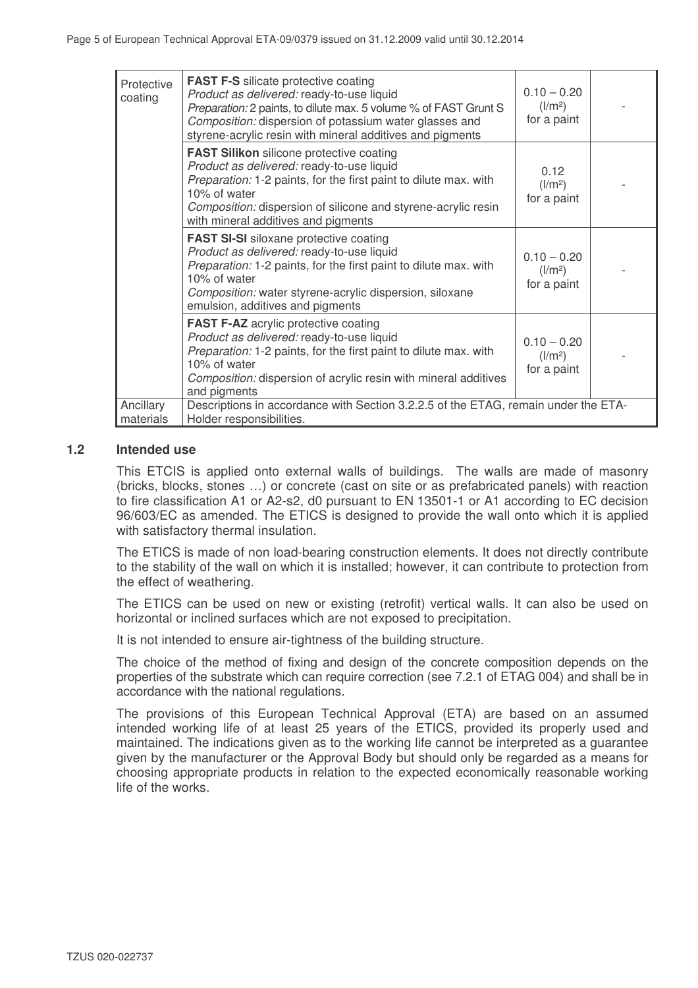| Protective<br>coating  | <b>FAST F-S</b> silicate protective coating<br>Product as delivered: ready-to-use liquid<br>Preparation: 2 paints, to dilute max. 5 volume % of FAST Grunt S<br>Composition: dispersion of potassium water glasses and<br>styrene-acrylic resin with mineral additives and pigments      | $0.10 - 0.20$<br>$\frac{1}{m^2}$<br>for a paint |  |
|------------------------|------------------------------------------------------------------------------------------------------------------------------------------------------------------------------------------------------------------------------------------------------------------------------------------|-------------------------------------------------|--|
|                        | <b>FAST Silikon</b> silicone protective coating<br>Product as delivered: ready-to-use liquid<br>Preparation: 1-2 paints, for the first paint to dilute max. with<br>10% of water<br>Composition: dispersion of silicone and styrene-acrylic resin<br>with mineral additives and pigments | 0.12<br>$\frac{1}{m^2}$<br>for a paint          |  |
|                        | <b>FAST SI-SI</b> siloxane protective coating<br>Product as delivered: ready-to-use liquid<br>Preparation: 1-2 paints, for the first paint to dilute max. with<br>10% of water<br>Composition: water styrene-acrylic dispersion, siloxane<br>emulsion, additives and pigments            | $0.10 - 0.20$<br>$\frac{1}{m^2}$<br>for a paint |  |
|                        | <b>FAST F-AZ</b> acrylic protective coating<br>Product as delivered: ready-to-use liquid<br>Preparation: 1-2 paints, for the first paint to dilute max. with<br>10% of water<br>Composition: dispersion of acrylic resin with mineral additives<br>and pigments                          | $0.10 - 0.20$<br>$\frac{1}{m^2}$<br>for a paint |  |
| Ancillary<br>materials | Descriptions in accordance with Section 3.2.2.5 of the ETAG, remain under the ETA-<br>Holder responsibilities.                                                                                                                                                                           |                                                 |  |

#### **1.2 Intended use**

This ETCIS is applied onto external walls of buildings. The walls are made of masonry (bricks, blocks, stones …) or concrete (cast on site or as prefabricated panels) with reaction to fire classification A1 or A2-s2, d0 pursuant to EN 13501-1 or A1 according to EC decision 96/603/EC as amended. The ETICS is designed to provide the wall onto which it is applied with satisfactory thermal insulation.

The ETICS is made of non load-bearing construction elements. It does not directly contribute to the stability of the wall on which it is installed; however, it can contribute to protection from the effect of weathering.

The ETICS can be used on new or existing (retrofit) vertical walls. It can also be used on horizontal or inclined surfaces which are not exposed to precipitation.

It is not intended to ensure air-tightness of the building structure.

The choice of the method of fixing and design of the concrete composition depends on the properties of the substrate which can require correction (see 7.2.1 of ETAG 004) and shall be in accordance with the national regulations.

The provisions of this European Technical Approval (ETA) are based on an assumed intended working life of at least 25 years of the ETICS, provided its properly used and maintained. The indications given as to the working life cannot be interpreted as a guarantee given by the manufacturer or the Approval Body but should only be regarded as a means for choosing appropriate products in relation to the expected economically reasonable working life of the works.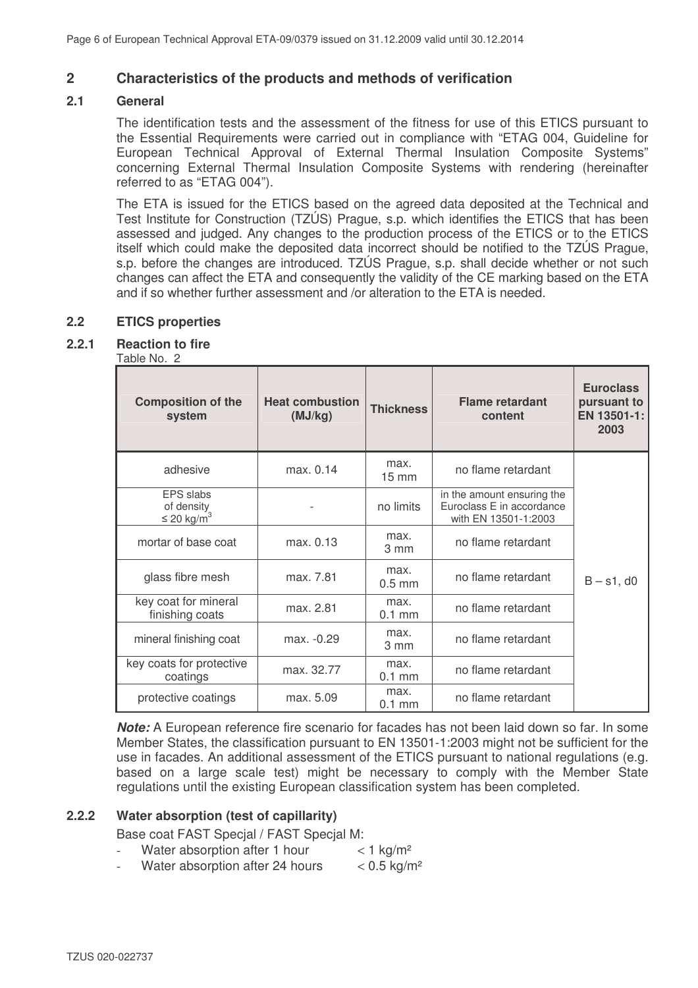## **2 Characteristics of the products and methods of verification**

#### **2.1 General**

The identification tests and the assessment of the fitness for use of this ETICS pursuant to the Essential Requirements were carried out in compliance with "ETAG 004, Guideline for European Technical Approval of External Thermal Insulation Composite Systems" concerning External Thermal Insulation Composite Systems with rendering (hereinafter referred to as "ETAG 004").

The ETA is issued for the ETICS based on the agreed data deposited at the Technical and Test Institute for Construction (TZÚS) Prague, s.p. which identifies the ETICS that has been assessed and judged. Any changes to the production process of the ETICS or to the ETICS itself which could make the deposited data incorrect should be notified to the TZÚS Prague, s.p. before the changes are introduced. TZÚS Prague, s.p. shall decide whether or not such changes can affect the ETA and consequently the validity of the CE marking based on the ETA and if so whether further assessment and /or alteration to the ETA is needed.

## **2.2 ETICS properties**

## **2.2.1 Reaction to fire**

#### Table No. 2

| <b>Composition of the</b><br>system                    | <b>Heat combustion</b><br>(MJ/kg) | <b>Thickness</b>         | <b>Flame retardant</b><br>content                                               | <b>Euroclass</b><br>pursuant to<br>EN 13501-1:<br>2003 |
|--------------------------------------------------------|-----------------------------------|--------------------------|---------------------------------------------------------------------------------|--------------------------------------------------------|
| adhesive                                               | max. 0.14                         | max.<br>$15 \text{ mm}$  | no flame retardant                                                              |                                                        |
| EPS slabs<br>of density<br>$\leq$ 20 kg/m <sup>3</sup> |                                   | no limits                | in the amount ensuring the<br>Euroclass E in accordance<br>with EN 13501-1:2003 |                                                        |
| mortar of base coat                                    | max. 0.13                         | max.<br>3 mm             | no flame retardant                                                              |                                                        |
| glass fibre mesh                                       | max. 7.81                         | max.<br>$0.5$ mm         | no flame retardant                                                              | $B - s1$ , d0                                          |
| key coat for mineral<br>finishing coats                | max. 2.81                         | max.<br>$0.1$ mm         | no flame retardant                                                              |                                                        |
| mineral finishing coat                                 | max. -0.29                        | max.<br>$3 \, \text{mm}$ | no flame retardant                                                              |                                                        |
| key coats for protective<br>coatings                   | max. 32.77                        | max.<br>$0.1$ mm         | no flame retardant                                                              |                                                        |
| protective coatings                                    | max. 5.09                         | max.<br>$0.1$ mm         | no flame retardant                                                              |                                                        |

*Note:* A European reference fire scenario for facades has not been laid down so far. In some Member States, the classification pursuant to EN 13501-1:2003 might not be sufficient for the use in facades. An additional assessment of the ETICS pursuant to national regulations (e.g. based on a large scale test) might be necessary to comply with the Member State regulations until the existing European classification system has been completed.

#### **2.2.2 Water absorption (test of capillarity)**

Base coat FAST Specjal / FAST Specjal M:

- Water absorption after 1 hour  $\lt 1$  kg/m<sup>2</sup>
- Water absorption after 24 hours  $\leq 0.5 \text{ kg/m}^2$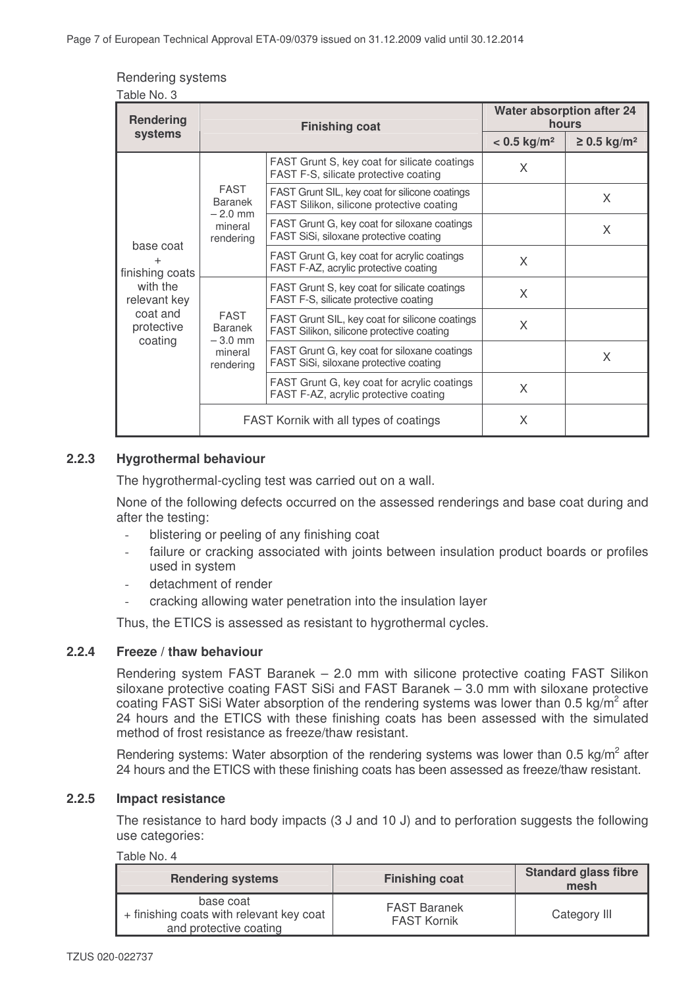| Rendering systems |  |
|-------------------|--|
|-------------------|--|

| Table No. 3                                          |                                                                                        |                                                                                             |                                           |                              |
|------------------------------------------------------|----------------------------------------------------------------------------------------|---------------------------------------------------------------------------------------------|-------------------------------------------|------------------------------|
| Rendering                                            | <b>Finishing coat</b>                                                                  |                                                                                             | <b>Water absorption after 24</b><br>hours |                              |
| systems                                              |                                                                                        |                                                                                             | $< 0.5$ kg/m <sup>2</sup>                 | $\geq$ 0.5 kg/m <sup>2</sup> |
|                                                      |                                                                                        | FAST Grunt S, key coat for silicate coatings<br>FAST F-S, silicate protective coating       | X                                         |                              |
|                                                      | <b>FAST</b><br><b>Baranek</b><br>$-2.0$ mm                                             | FAST Grunt SIL, key coat for silicone coatings<br>FAST Silikon, silicone protective coating |                                           | X                            |
| mineral<br>rendering<br>base coat<br>finishing coats | FAST Grunt G, key coat for siloxane coatings<br>FAST SiSi, siloxane protective coating |                                                                                             | X                                         |                              |
|                                                      |                                                                                        | FAST Grunt G, key coat for acrylic coatings<br>FAST F-AZ, acrylic protective coating        | X                                         |                              |
| with the<br>relevant key                             |                                                                                        | FAST Grunt S, key coat for silicate coatings<br>FAST F-S, silicate protective coating       | X                                         |                              |
| coat and<br>protective                               | <b>FAST</b><br><b>Baranek</b><br>$-3.0$ mm                                             | FAST Grunt SIL, key coat for silicone coatings<br>FAST Silikon, silicone protective coating | X                                         |                              |
| coating<br>mineral<br>rendering                      |                                                                                        | FAST Grunt G, key coat for siloxane coatings<br>FAST SiSi, siloxane protective coating      |                                           | X                            |
|                                                      |                                                                                        | FAST Grunt G, key coat for acrylic coatings<br>FAST F-AZ, acrylic protective coating        | X                                         |                              |
|                                                      | FAST Kornik with all types of coatings                                                 |                                                                                             | X                                         |                              |

## **2.2.3 Hygrothermal behaviour**

The hygrothermal-cycling test was carried out on a wall.

None of the following defects occurred on the assessed renderings and base coat during and after the testing:

- blistering or peeling of any finishing coat
- failure or cracking associated with joints between insulation product boards or profiles used in system
- detachment of render
- cracking allowing water penetration into the insulation layer

Thus, the ETICS is assessed as resistant to hygrothermal cycles.

## **2.2.4 Freeze / thaw behaviour**

Rendering system FAST Baranek – 2.0 mm with silicone protective coating FAST Silikon siloxane protective coating FAST SiSi and FAST Baranek – 3.0 mm with siloxane protective coating FAST SiSi Water absorption of the rendering systems was lower than 0.5 kg/m<sup>2</sup> after 24 hours and the ETICS with these finishing coats has been assessed with the simulated method of frost resistance as freeze/thaw resistant.

Rendering systems: Water absorption of the rendering systems was lower than 0.5 kg/m<sup>2</sup> after 24 hours and the ETICS with these finishing coats has been assessed as freeze/thaw resistant.

#### **2.2.5 Impact resistance**

The resistance to hard body impacts (3 J and 10 J) and to perforation suggests the following use categories:

#### Table No. 4

| <b>Rendering systems</b>                                                        | <b>Finishing coat</b>                     | <b>Standard glass fibre</b><br>mesh |
|---------------------------------------------------------------------------------|-------------------------------------------|-------------------------------------|
| base coat<br>+ finishing coats with relevant key coat<br>and protective coating | <b>FAST Baranek</b><br><b>FAST Kornik</b> | Category III                        |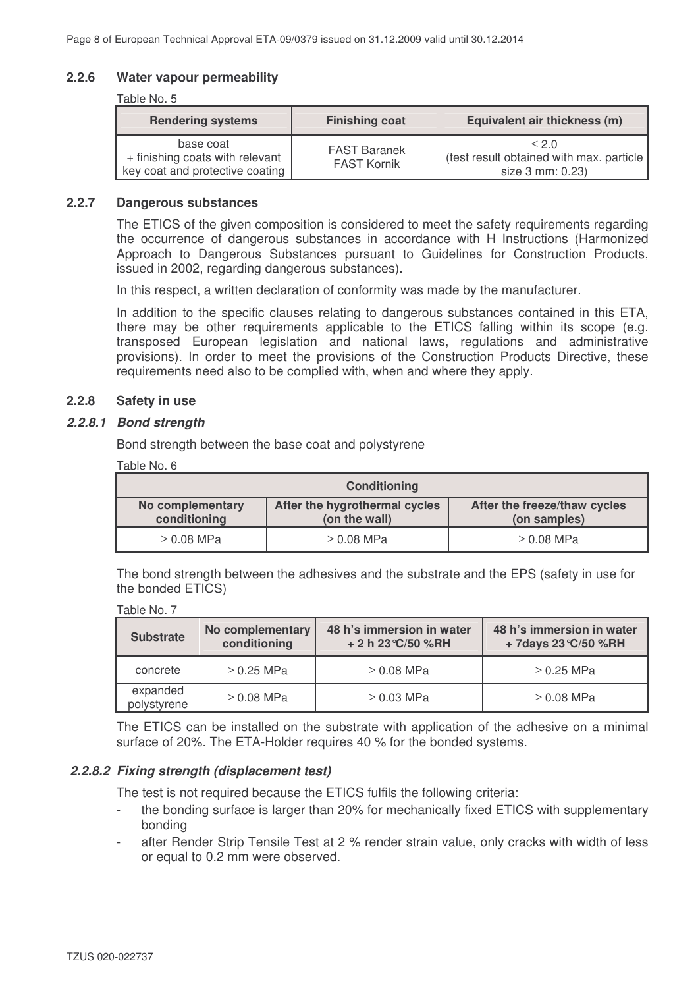### **2.2.6 Water vapour permeability**

#### Table No. 5

| <b>Rendering systems</b>                                                        | <b>Finishing coat</b>                     | Equivalent air thickness (m)                                          |
|---------------------------------------------------------------------------------|-------------------------------------------|-----------------------------------------------------------------------|
| base coat<br>+ finishing coats with relevant<br>key coat and protective coating | <b>FAST Baranek</b><br><b>FAST Kornik</b> | < 2.0<br>(test result obtained with max. particle<br>size 3 mm: 0.23) |

#### **2.2.7 Dangerous substances**

The ETICS of the given composition is considered to meet the safety requirements regarding the occurrence of dangerous substances in accordance with H Instructions (Harmonized Approach to Dangerous Substances pursuant to Guidelines for Construction Products, issued in 2002, regarding dangerous substances).

In this respect, a written declaration of conformity was made by the manufacturer.

In addition to the specific clauses relating to dangerous substances contained in this ETA, there may be other requirements applicable to the ETICS falling within its scope (e.g. transposed European legislation and national laws, regulations and administrative provisions). In order to meet the provisions of the Construction Products Directive, these requirements need also to be complied with, when and where they apply.

#### **2.2.8 Safety in use**

#### *2.2.8.1 Bond strength*

Bond strength between the base coat and polystyrene

| Table No. 6 |  |
|-------------|--|
|             |  |

Table No. 7

| <b>Conditioning</b>                                                                                                                |            |                 |  |
|------------------------------------------------------------------------------------------------------------------------------------|------------|-----------------|--|
| After the freeze/thaw cycles<br>No complementary<br>After the hygrothermal cycles<br>conditioning<br>(on the wall)<br>(on samples) |            |                 |  |
| $\geq 0.08$ MPa                                                                                                                    | ≥ 0.08 MPa | $\geq 0.08$ MPa |  |

The bond strength between the adhesives and the substrate and the EPS (safety in use for the bonded ETICS)

| <b>Substrate</b>        | No complementary<br>conditioning | 48 h's immersion in water<br>+ 2 h 23 °C/50 %RH | 48 h's immersion in water<br>+7days 23 °C/50 %RH |  |
|-------------------------|----------------------------------|-------------------------------------------------|--------------------------------------------------|--|
| concrete                | $\geq$ 0.25 MPa                  | $\geq 0.08$ MPa                                 | $\geq$ 0.25 MPa                                  |  |
| expanded<br>polystyrene | $\geq$ 0.08 MPa                  | $\geq$ 0.03 MPa                                 | $\geq 0.08$ MPa                                  |  |

The ETICS can be installed on the substrate with application of the adhesive on a minimal surface of 20%. The ETA-Holder requires 40 % for the bonded systems.

#### *2.2.8.2 Fixing strength (displacement test)*

The test is not required because the ETICS fulfils the following criteria:

- the bonding surface is larger than 20% for mechanically fixed ETICS with supplementary bonding
- after Render Strip Tensile Test at 2 % render strain value, only cracks with width of less or equal to 0.2 mm were observed.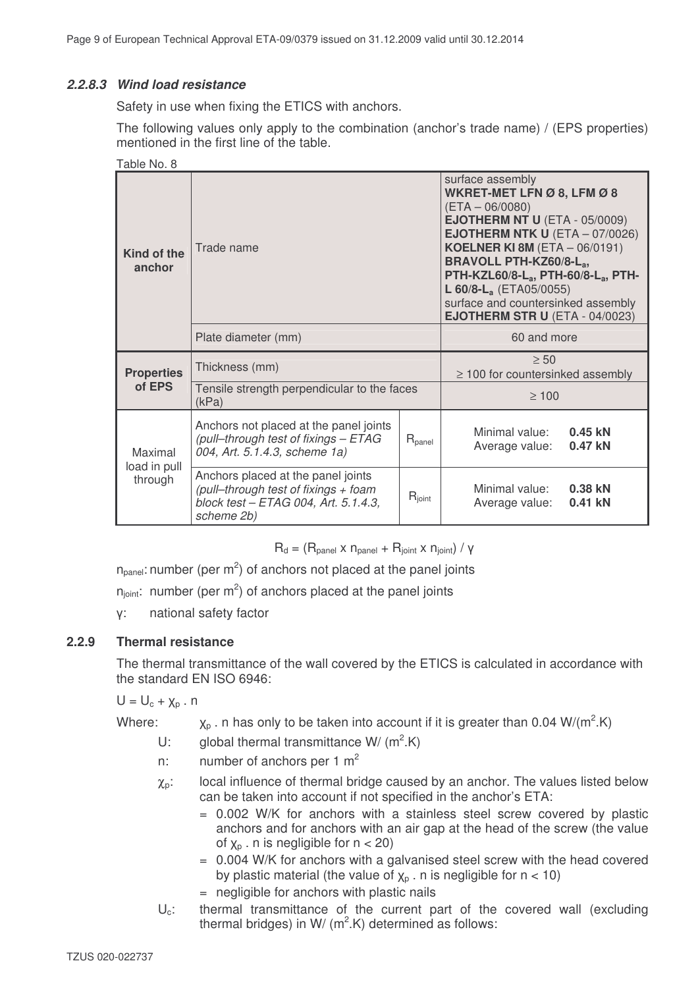## *2.2.8.3 Wind load resistance*

Safety in use when fixing the ETICS with anchors.

The following values only apply to the combination (anchor's trade name) / (EPS properties) mentioned in the first line of the table.

| Table No. 8                         |                                                                                                                                  |                                                                                                                                                                                                                                                                                                                                                                                                              |                                                    |                      |
|-------------------------------------|----------------------------------------------------------------------------------------------------------------------------------|--------------------------------------------------------------------------------------------------------------------------------------------------------------------------------------------------------------------------------------------------------------------------------------------------------------------------------------------------------------------------------------------------------------|----------------------------------------------------|----------------------|
| Trade name<br>Kind of the<br>anchor |                                                                                                                                  | surface assembly<br>WKRET-MET LFN Ø 8, LFM Ø 8<br>$(ETA - 06/0080)$<br><b>EJOTHERM NT U (ETA - 05/0009)</b><br><b>EJOTHERM NTK U</b> (ETA $-$ 07/0026)<br><b>KOELNER KI 8M (ETA - 06/0191)</b><br><b>BRAVOLL PTH-KZ60/8-Lat</b><br>PTH-KZL60/8-L <sub>a</sub> , PTH-60/8-L <sub>a</sub> , PTH-<br>L 60/8-L <sub>a</sub> (ETA05/0055)<br>surface and countersinked assembly<br>EJOTHERM STR U (ETA - 04/0023) |                                                    |                      |
|                                     | Plate diameter (mm)                                                                                                              |                                                                                                                                                                                                                                                                                                                                                                                                              | 60 and more                                        |                      |
| <b>Properties</b>                   | Thickness (mm)                                                                                                                   |                                                                                                                                                                                                                                                                                                                                                                                                              | $\geq 50$<br>$\geq$ 100 for countersinked assembly |                      |
| of EPS                              | Tensile strength perpendicular to the faces<br>(kPa)                                                                             |                                                                                                                                                                                                                                                                                                                                                                                                              | $\geq 100$                                         |                      |
| Maximal<br>load in pull<br>through  | Anchors not placed at the panel joints<br>(pull-through test of fixings - ETAG<br>004, Art. 5.1.4.3, scheme 1a)                  | $R_{\text{panel}}$                                                                                                                                                                                                                                                                                                                                                                                           | Minimal value:<br>Average value:                   | $0.45$ kN<br>0.47 kN |
|                                     | Anchors placed at the panel joints<br>(pull-through test of fixings + foam<br>block test - ETAG 004, Art. 5.1.4.3,<br>scheme 2b) | $R_{joint}$                                                                                                                                                                                                                                                                                                                                                                                                  | Minimal value:<br>Average value:                   | 0.38 kN<br>0.41 kN   |

 $R_d = (R_{\text{panel}} \times n_{\text{panel}} + R_{\text{joint}} \times n_{\text{joint}}) / V$ 

 $n_{\text{panel}}$ : number (per m<sup>2</sup>) of anchors not placed at the panel joints

 $n_{joint}$ : number (per m<sup>2</sup>) of anchors placed at the panel joints

: national safety factor

## **2.2.9 Thermal resistance**

The thermal transmittance of the wall covered by the ETICS is calculated in accordance with the standard EN ISO 6946:

 $U = U_c + Y_p$ . n

Where:  $X_p$  . n has only to be taken into account if it is greater than 0.04 W/(m<sup>2</sup>.K)

- U: global thermal transmittance W/  $(m^2.K)$
- n: number of anchors per 1  $m<sup>2</sup>$
- $\chi_{p}$ : local influence of thermal bridge caused by an anchor. The values listed below can be taken into account if not specified in the anchor's ETA:
	- = 0.002 W/K for anchors with a stainless steel screw covered by plastic anchors and for anchors with an air gap at the head of the screw (the value of  $x_n$ . n is negligible for  $n < 20$ )
	- = 0.004 W/K for anchors with a galvanised steel screw with the head covered by plastic material (the value of  $\chi_{\text{p}}$  . n is negligible for  $n < 10$ )
	- = negligible for anchors with plastic nails
- $U_c$ : thermal transmittance of the current part of the covered wall (excluding thermal bridges) in W/  $(m^2.K)$  determined as follows: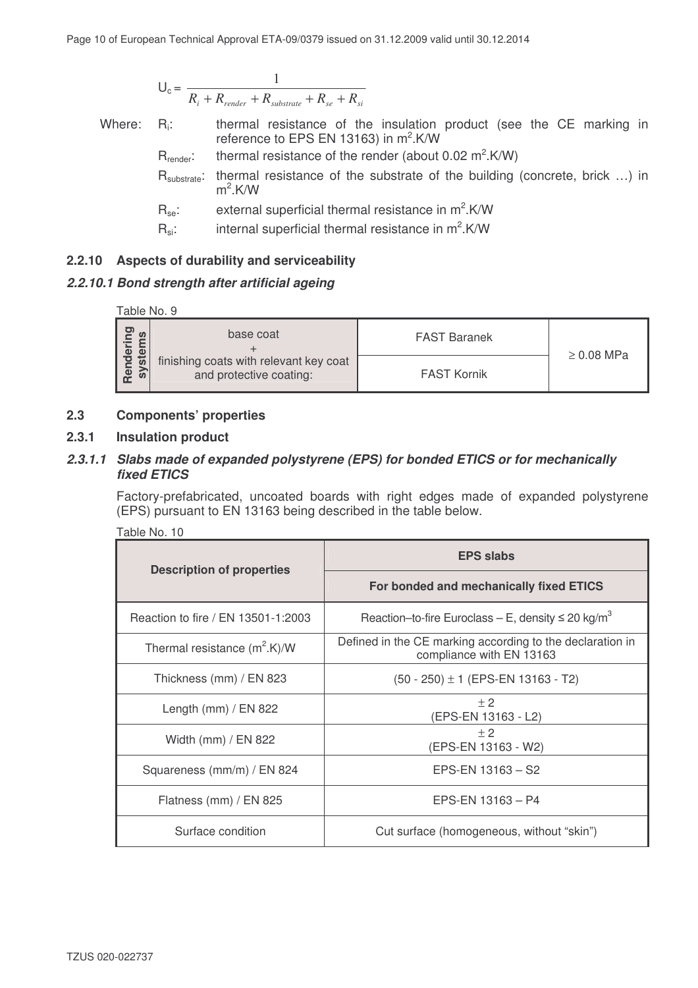$$
U_c = \frac{1}{R_i + R_{render} + R_{substrate} + R_{se} + R_{si}}
$$

Where: R<sub>i</sub>: thermal resistance of the insulation product (see the CE marking in reference to EPS EN 13163) in m<sup>2</sup>.K/W

 $R_{\text{render}}$ : thermal resistance of the render (about 0.02 m<sup>2</sup>.K/W)

R<sub>substrate</sub>: thermal resistance of the substrate of the building (concrete, brick ...) in  $m^2$ .K/W

 $R_{se}$ : external superficial thermal resistance in m<sup>2</sup>.K/W

 $R_{si}$ : internal superficial thermal resistance in m<sup>2</sup>.K/W

## **2.2.10 Aspects of durability and serviceability**

## *2.2.10.1 Bond strength after artificial ageing*



## **2.3 Components' properties**

## **2.3.1 Insulation product**

## *2.3.1.1 Slabs made of expanded polystyrene (EPS) for bonded ETICS or for mechanically fixed ETICS*

Factory-prefabricated, uncoated boards with right edges made of expanded polystyrene (EPS) pursuant to EN 13163 being described in the table below.

|  | Table No. |  |
|--|-----------|--|
|  |           |  |

| <b>Description of properties</b>   | <b>EPS slabs</b>                                                                      |  |
|------------------------------------|---------------------------------------------------------------------------------------|--|
|                                    | For bonded and mechanically fixed ETICS                                               |  |
| Reaction to fire / EN 13501-1:2003 | Reaction-to-fire Euroclass - E, density $\leq 20 \text{ kg/m}^3$                      |  |
| Thermal resistance $(m^2.K)/W$     | Defined in the CE marking according to the declaration in<br>compliance with EN 13163 |  |
| Thickness (mm) / EN 823            | $(50 - 250) \pm 1$ (EPS-EN 13163 - T2)                                                |  |
| Length (mm) / EN 822               | ± 2<br>(EPS-EN 13163 - L2)                                                            |  |
| Width (mm) / EN 822                | ± 2<br>(EPS-EN 13163 - W2)                                                            |  |
| Squareness (mm/m) / EN 824         | EPS-EN 13163 - S2                                                                     |  |
| Flatness (mm) / $EN$ 825           | EPS-EN 13163 - P4                                                                     |  |
| Surface condition                  | Cut surface (homogeneous, without "skin")                                             |  |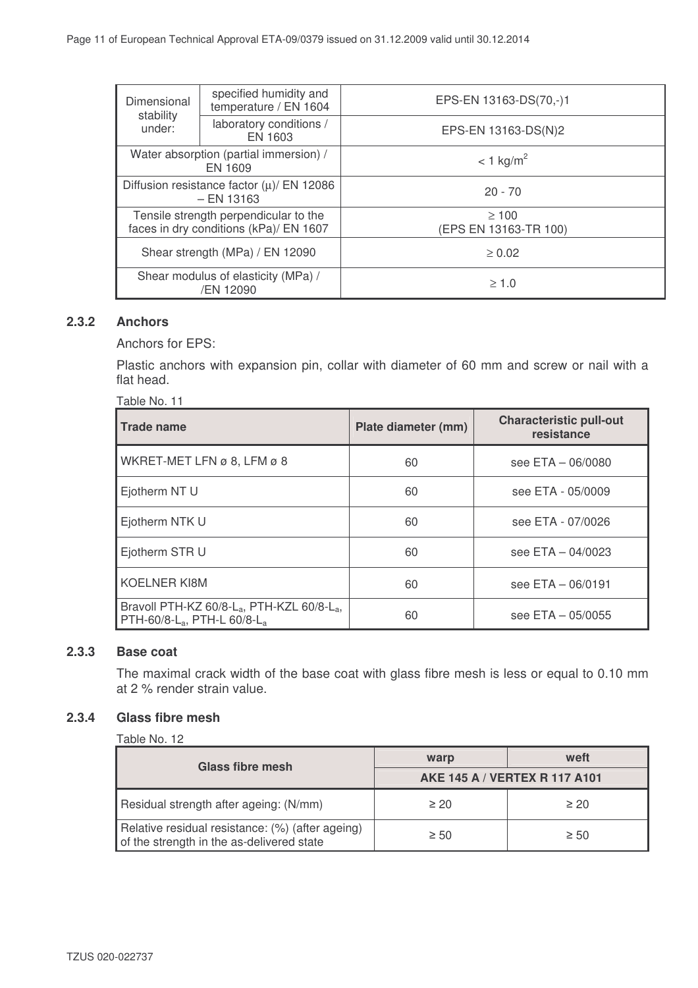| Dimensional<br>stability<br>under:                                              | specified humidity and<br>temperature / EN 1604 | EPS-EN 13163-DS(70,-)1              |  |
|---------------------------------------------------------------------------------|-------------------------------------------------|-------------------------------------|--|
|                                                                                 | laboratory conditions /<br>EN 1603              | EPS-EN 13163-DS(N)2                 |  |
| Water absorption (partial immersion) /<br>EN 1609                               |                                                 | $< 1$ kg/m <sup>2</sup>             |  |
| Diffusion resistance factor $(\mu)$ EN 12086<br>$-$ EN 13163                    |                                                 | $20 - 70$                           |  |
| Tensile strength perpendicular to the<br>faces in dry conditions (kPa)/ EN 1607 |                                                 | $\geq 100$<br>(EPS EN 13163-TR 100) |  |
| Shear strength (MPa) / EN 12090                                                 |                                                 | $\geq 0.02$                         |  |
| Shear modulus of elasticity (MPa) /<br>/EN 12090                                |                                                 | $\geq 1.0$                          |  |

## **2.3.2 Anchors**

Anchors for EPS:

Plastic anchors with expansion pin, collar with diameter of 60 mm and screw or nail with a flat head.

| <b>Trade name</b>                                                                                                         | Plate diameter (mm) | <b>Characteristic pull-out</b><br>resistance |
|---------------------------------------------------------------------------------------------------------------------------|---------------------|----------------------------------------------|
| WKRET-MET LFN ø 8, LFM ø 8                                                                                                | 60                  | see ETA - 06/0080                            |
| Ejotherm NT U                                                                                                             | 60                  | see ETA - 05/0009                            |
| Ejotherm NTK U                                                                                                            | 60                  | see ETA - 07/0026                            |
| Ejotherm STR U                                                                                                            | 60                  | see $ETA - 04/0023$                          |
| <b>KOELNER KI8M</b>                                                                                                       | 60                  | see ETA - 06/0191                            |
| Bravoll PTH-KZ 60/8-L <sub>a</sub> , PTH-KZL 60/8-L <sub>a</sub> ,<br>PTH-60/8-L <sub>a</sub> , PTH-L 60/8-L <sub>a</sub> | 60                  | see ETA - 05/0055                            |

## **2.3.3 Base coat**

The maximal crack width of the base coat with glass fibre mesh is less or equal to 0.10 mm at 2 % render strain value.

## **2.3.4 Glass fibre mesh**

| Table No. 12                                                                                  |                                      |           |  |
|-----------------------------------------------------------------------------------------------|--------------------------------------|-----------|--|
| Glass fibre mesh                                                                              | warp                                 | weft      |  |
|                                                                                               | <b>AKE 145 A / VERTEX R 117 A101</b> |           |  |
| Residual strength after ageing: (N/mm)                                                        | $\geq 20$                            | $\geq 20$ |  |
| Relative residual resistance: (%) (after ageing)<br>of the strength in the as-delivered state | $\geq 50$                            | $\geq 50$ |  |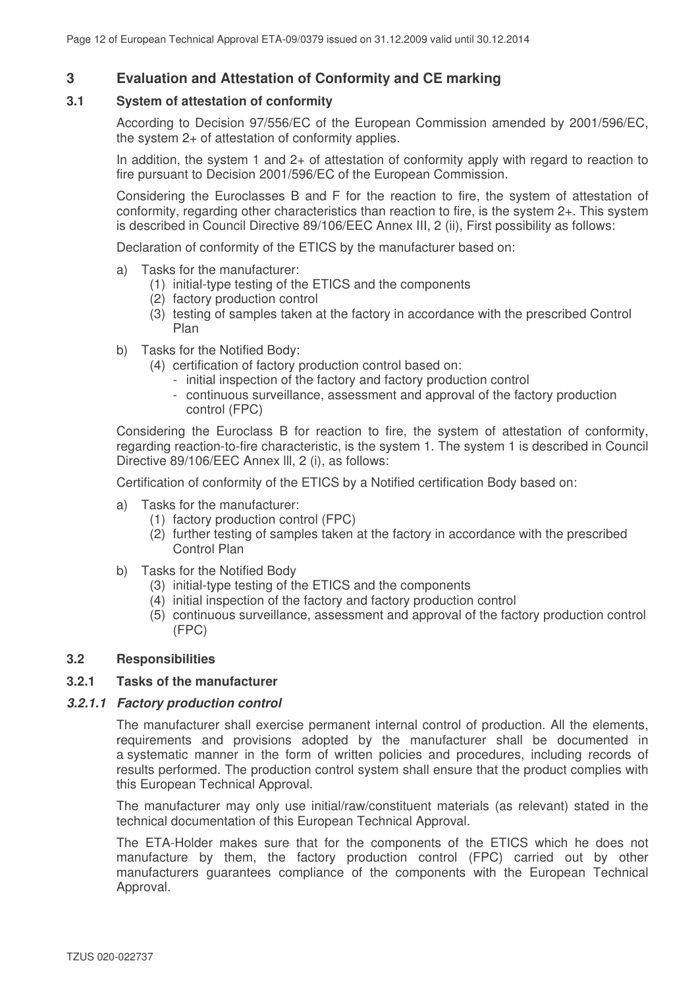## **3 Evaluation and Attestation of Conformity and CE marking**

#### **3.1 System of attestation of conformity**

According to Decision 97/556/EC of the European Commission amended by 2001/596/EC, the system 2+ of attestation of conformity applies.

In addition, the system 1 and 2+ of attestation of conformity apply with regard to reaction to fire pursuant to Decision 2001/596/EC of the European Commission.

Considering the Euroclasses B and F for the reaction to fire, the system of attestation of conformity, regarding other characteristics than reaction to fire, is the system 2+. This system is described in Council Directive 89/106/EEC Annex III, 2 (ii), First possibility as follows:

Declaration of conformity of the ETICS by the manufacturer based on:

- a) Tasks for the manufacturer:
	- (1) initial-type testing of the ETICS and the components
	- (2) factory production control
	- (3) testing of samples taken at the factory in accordance with the prescribed Control Plan
- b) Tasks for the Notified Body:
	- (4) certification of factory production control based on:
		- initial inspection of the factory and factory production control
		- continuous surveillance, assessment and approval of the factory production control (FPC)

Considering the Euroclass B for reaction to fire, the system of attestation of conformity, regarding reaction-to-fire characteristic, is the system 1. The system 1 is described in Council Directive 89/106/EEC Annex lll, 2 (i), as follows:

Certification of conformity of the ETICS by a Notified certification Body based on:

- a) Tasks for the manufacturer:
	- (1) factory production control (FPC)
	- (2) further testing of samples taken at the factory in accordance with the prescribed Control Plan
- b) Tasks for the Notified Body
	- (3) initial-type testing of the ETICS and the components
	- (4) initial inspection of the factory and factory production control
	- (5) continuous surveillance, assessment and approval of the factory production control (FPC)

#### **3.2 Responsibilities**

#### **3.2.1 Tasks of the manufacturer**

#### *3.2.1.1 Factory production control*

The manufacturer shall exercise permanent internal control of production. All the elements, requirements and provisions adopted by the manufacturer shall be documented in a systematic manner in the form of written policies and procedures, including records of results performed. The production control system shall ensure that the product complies with this European Technical Approval.

The manufacturer may only use initial/raw/constituent materials (as relevant) stated in the technical documentation of this European Technical Approval.

The ETA-Holder makes sure that for the components of the ETICS which he does not manufacture by them, the factory production control (FPC) carried out by other manufacturers guarantees compliance of the components with the European Technical Approval.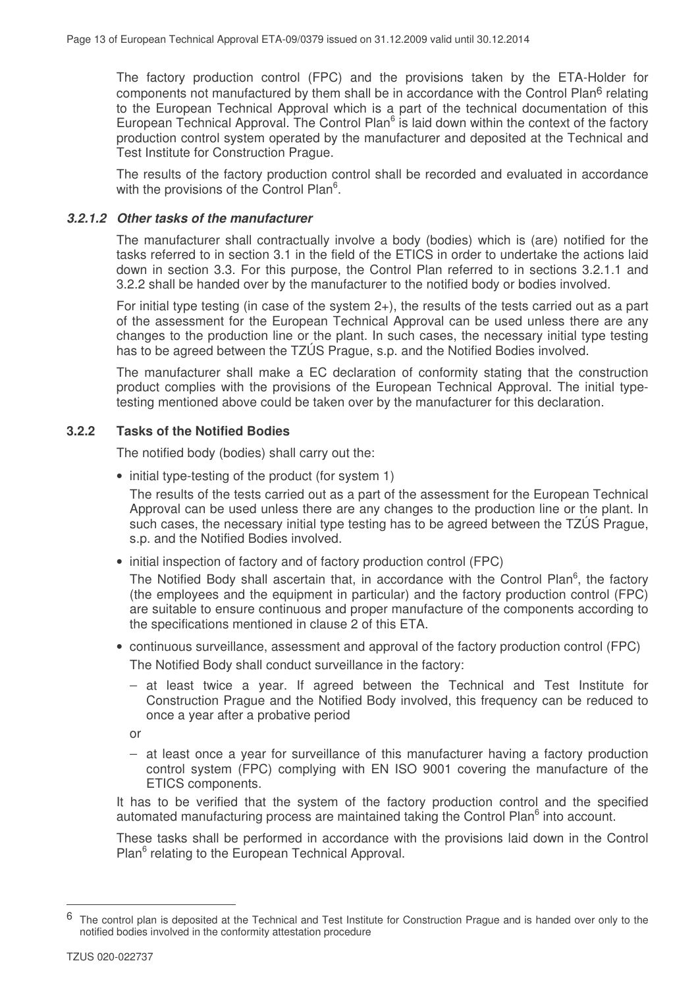The factory production control (FPC) and the provisions taken by the ETA-Holder for components not manufactured by them shall be in accordance with the Control Plan<sup>6</sup> relating to the European Technical Approval which is a part of the technical documentation of this European Technical Approval. The Control Plan<sup>6</sup> is laid down within the context of the factory production control system operated by the manufacturer and deposited at the Technical and Test Institute for Construction Prague.

The results of the factory production control shall be recorded and evaluated in accordance with the provisions of the Control Plan<sup>6</sup>.

#### *3.2.1.2 Other tasks of the manufacturer*

The manufacturer shall contractually involve a body (bodies) which is (are) notified for the tasks referred to in section 3.1 in the field of the ETICS in order to undertake the actions laid down in section 3.3. For this purpose, the Control Plan referred to in sections 3.2.1.1 and 3.2.2 shall be handed over by the manufacturer to the notified body or bodies involved.

For initial type testing (in case of the system 2+), the results of the tests carried out as a part of the assessment for the European Technical Approval can be used unless there are any changes to the production line or the plant. In such cases, the necessary initial type testing has to be agreed between the TZÚS Prague, s.p. and the Notified Bodies involved.

The manufacturer shall make a EC declaration of conformity stating that the construction product complies with the provisions of the European Technical Approval. The initial typetesting mentioned above could be taken over by the manufacturer for this declaration.

## **3.2.2 Tasks of the Notified Bodies**

The notified body (bodies) shall carry out the:

• initial type-testing of the product (for system 1)

The results of the tests carried out as a part of the assessment for the European Technical Approval can be used unless there are any changes to the production line or the plant. In such cases, the necessary initial type testing has to be agreed between the TZÚS Prague, s.p. and the Notified Bodies involved.

• initial inspection of factory and of factory production control (FPC)

The Notified Body shall ascertain that, in accordance with the Control Plan<sup>6</sup>, the factory (the employees and the equipment in particular) and the factory production control (FPC) are suitable to ensure continuous and proper manufacture of the components according to the specifications mentioned in clause 2 of this ETA.

- continuous surveillance, assessment and approval of the factory production control (FPC) The Notified Body shall conduct surveillance in the factory:
	- − at least twice a year. If agreed between the Technical and Test Institute for Construction Prague and the Notified Body involved, this frequency can be reduced to once a year after a probative period

or

− at least once a year for surveillance of this manufacturer having a factory production control system (FPC) complying with EN ISO 9001 covering the manufacture of the ETICS components.

It has to be verified that the system of the factory production control and the specified automated manufacturing process are maintained taking the Control Plan<sup>6</sup> into account.

These tasks shall be performed in accordance with the provisions laid down in the Control Plan<sup>6</sup> relating to the European Technical Approval.

 $6$  The control plan is deposited at the Technical and Test Institute for Construction Prague and is handed over only to the notified bodies involved in the conformity attestation procedure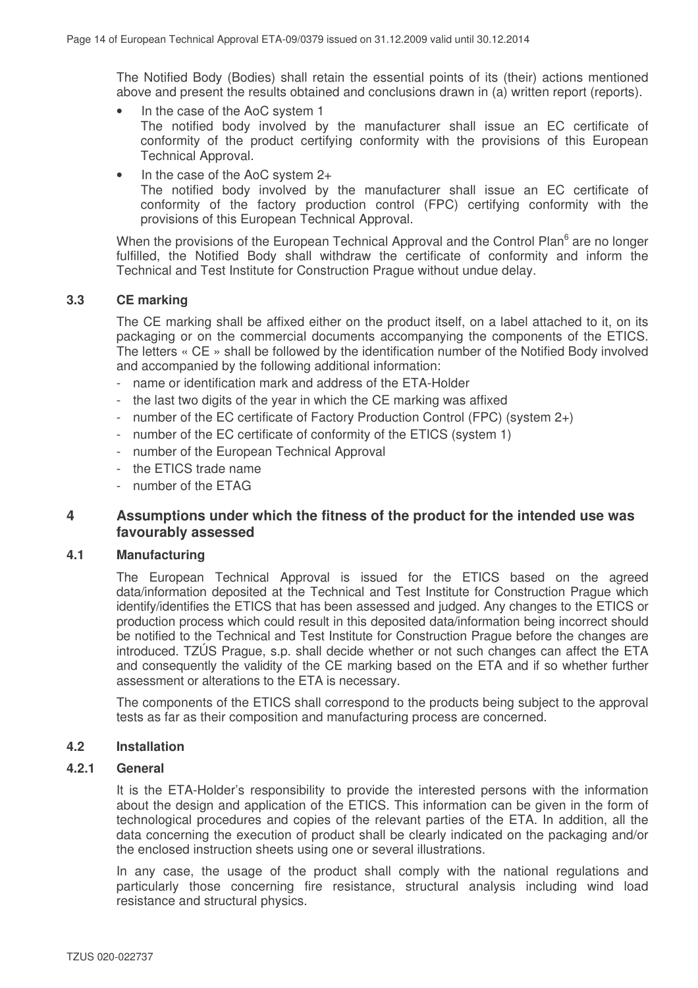The Notified Body (Bodies) shall retain the essential points of its (their) actions mentioned above and present the results obtained and conclusions drawn in (a) written report (reports).

- In the case of the AoC system 1 The notified body involved by the manufacturer shall issue an EC certificate of conformity of the product certifying conformity with the provisions of this European Technical Approval.
- In the case of the AoC system 2+ The notified body involved by the manufacturer shall issue an EC certificate of conformity of the factory production control (FPC) certifying conformity with the provisions of this European Technical Approval.

When the provisions of the European Technical Approval and the Control Plan<sup>6</sup> are no longer fulfilled, the Notified Body shall withdraw the certificate of conformity and inform the Technical and Test Institute for Construction Prague without undue delay.

## **3.3 CE marking**

The CE marking shall be affixed either on the product itself, on a label attached to it, on its packaging or on the commercial documents accompanying the components of the ETICS. The letters « CE » shall be followed by the identification number of the Notified Body involved and accompanied by the following additional information:

- name or identification mark and address of the ETA-Holder
- the last two digits of the year in which the CE marking was affixed
- number of the EC certificate of Factory Production Control (FPC) (system 2+)
- number of the EC certificate of conformity of the ETICS (system 1)
- number of the European Technical Approval
- the ETICS trade name
- number of the ETAG

## **4 Assumptions under which the fitness of the product for the intended use was favourably assessed**

## **4.1 Manufacturing**

The European Technical Approval is issued for the ETICS based on the agreed data/information deposited at the Technical and Test Institute for Construction Prague which identify/identifies the ETICS that has been assessed and judged. Any changes to the ETICS or production process which could result in this deposited data/information being incorrect should be notified to the Technical and Test Institute for Construction Prague before the changes are introduced. TZÚS Prague, s.p. shall decide whether or not such changes can affect the ETA and consequently the validity of the CE marking based on the ETA and if so whether further assessment or alterations to the ETA is necessary.

The components of the ETICS shall correspond to the products being subject to the approval tests as far as their composition and manufacturing process are concerned.

## **4.2 Installation**

## **4.2.1 General**

It is the ETA-Holder's responsibility to provide the interested persons with the information about the design and application of the ETICS. This information can be given in the form of technological procedures and copies of the relevant parties of the ETA. In addition, all the data concerning the execution of product shall be clearly indicated on the packaging and/or the enclosed instruction sheets using one or several illustrations.

In any case, the usage of the product shall comply with the national regulations and particularly those concerning fire resistance, structural analysis including wind load resistance and structural physics.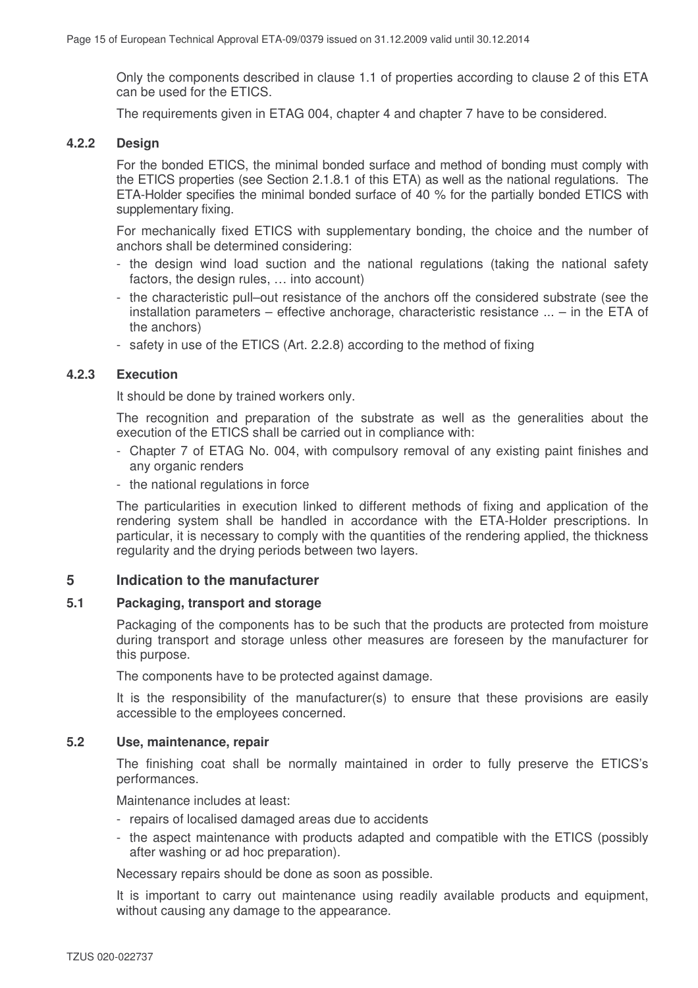Only the components described in clause 1.1 of properties according to clause 2 of this ETA can be used for the ETICS.

The requirements given in ETAG 004, chapter 4 and chapter 7 have to be considered.

#### **4.2.2 Design**

For the bonded ETICS, the minimal bonded surface and method of bonding must comply with the ETICS properties (see Section 2.1.8.1 of this ETA) as well as the national regulations. The ETA-Holder specifies the minimal bonded surface of 40 % for the partially bonded ETICS with supplementary fixing.

For mechanically fixed ETICS with supplementary bonding, the choice and the number of anchors shall be determined considering:

- the design wind load suction and the national regulations (taking the national safety factors, the design rules, ... into account)
- the characteristic pull–out resistance of the anchors off the considered substrate (see the installation parameters – effective anchorage, characteristic resistance ... – in the ETA of the anchors)
- safety in use of the ETICS (Art. 2.2.8) according to the method of fixing

## **4.2.3 Execution**

It should be done by trained workers only.

The recognition and preparation of the substrate as well as the generalities about the execution of the ETICS shall be carried out in compliance with:

- Chapter 7 of ETAG No. 004, with compulsory removal of any existing paint finishes and any organic renders
- the national regulations in force

The particularities in execution linked to different methods of fixing and application of the rendering system shall be handled in accordance with the ETA-Holder prescriptions. In particular, it is necessary to comply with the quantities of the rendering applied, the thickness regularity and the drying periods between two layers.

## **5 Indication to the manufacturer**

#### **5.1 Packaging, transport and storage**

Packaging of the components has to be such that the products are protected from moisture during transport and storage unless other measures are foreseen by the manufacturer for this purpose.

The components have to be protected against damage.

It is the responsibility of the manufacturer(s) to ensure that these provisions are easily accessible to the employees concerned.

#### **5.2 Use, maintenance, repair**

The finishing coat shall be normally maintained in order to fully preserve the ETICS's performances.

Maintenance includes at least:

- repairs of localised damaged areas due to accidents
- the aspect maintenance with products adapted and compatible with the ETICS (possibly after washing or ad hoc preparation).

Necessary repairs should be done as soon as possible.

It is important to carry out maintenance using readily available products and equipment, without causing any damage to the appearance.